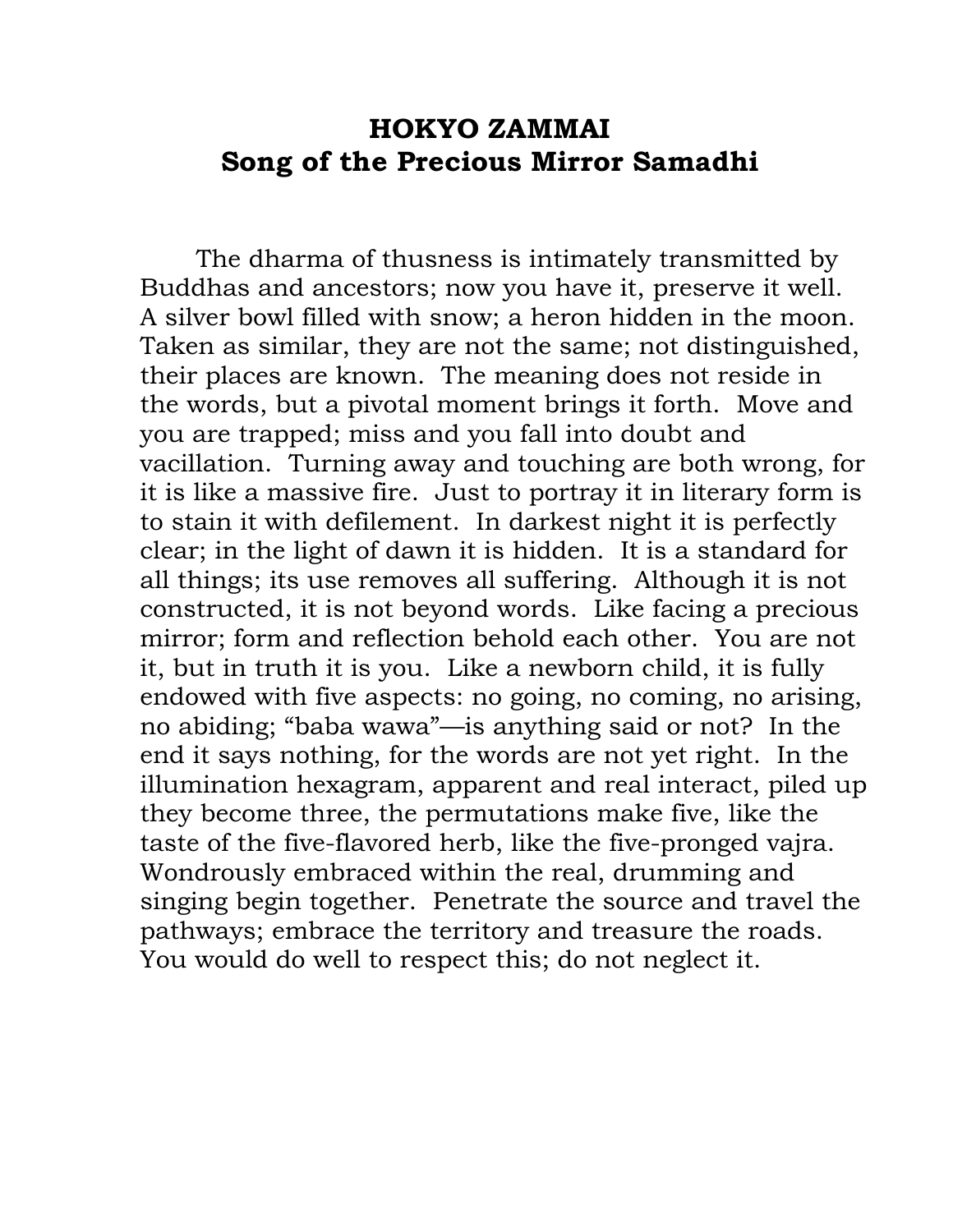## **HOKYO ZAMMAI Song of the Precious Mirror Samadhi**

The dharma of thusness is intimately transmitted by Buddhas and ancestors; now you have it, preserve it well. A silver bowl filled with snow; a heron hidden in the moon. Taken as similar, they are not the same; not distinguished, their places are known. The meaning does not reside in the words, but a pivotal moment brings it forth. Move and you are trapped; miss and you fall into doubt and vacillation. Turning away and touching are both wrong, for it is like a massive fire. Just to portray it in literary form is to stain it with defilement. In darkest night it is perfectly clear; in the light of dawn it is hidden. It is a standard for all things; its use removes all suffering. Although it is not constructed, it is not beyond words. Like facing a precious mirror; form and reflection behold each other. You are not it, but in truth it is you. Like a newborn child, it is fully endowed with five aspects: no going, no coming, no arising, no abiding; "baba wawa"—is anything said or not? In the end it says nothing, for the words are not yet right. In the illumination hexagram, apparent and real interact, piled up they become three, the permutations make five, like the taste of the five-flavored herb, like the five-pronged vajra. Wondrously embraced within the real, drumming and singing begin together. Penetrate the source and travel the pathways; embrace the territory and treasure the roads. You would do well to respect this; do not neglect it.